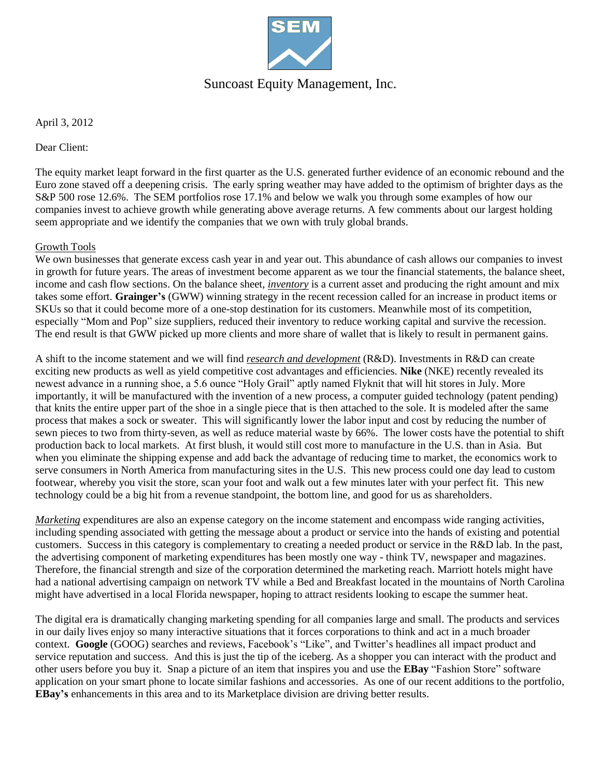

## Suncoast Equity Management, Inc.

April 3, 2012

Dear Client:

The equity market leapt forward in the first quarter as the U.S. generated further evidence of an economic rebound and the Euro zone staved off a deepening crisis. The early spring weather may have added to the optimism of brighter days as the S&P 500 rose 12.6%. The SEM portfolios rose 17.1% and below we walk you through some examples of how our companies invest to achieve growth while generating above average returns. A few comments about our largest holding seem appropriate and we identify the companies that we own with truly global brands.

### Growth Tools

We own businesses that generate excess cash year in and year out. This abundance of cash allows our companies to invest in growth for future years. The areas of investment become apparent as we tour the financial statements, the balance sheet, income and cash flow sections. On the balance sheet, *inventory* is a current asset and producing the right amount and mix takes some effort. **Grainger's** (GWW) winning strategy in the recent recession called for an increase in product items or SKUs so that it could become more of a one-stop destination for its customers. Meanwhile most of its competition, especially "Mom and Pop" size suppliers, reduced their inventory to reduce working capital and survive the recession. The end result is that GWW picked up more clients and more share of wallet that is likely to result in permanent gains.

A shift to the income statement and we will find *research and development* (R&D). Investments in R&D can create exciting new products as well as yield competitive cost advantages and efficiencies. **Nike** (NKE) recently revealed its newest advance in a running shoe, a 5.6 ounce "Holy Grail" aptly named Flyknit that will hit stores in July. More importantly, it will be manufactured with the invention of a new process, a computer guided technology (patent pending) that knits the entire upper part of the shoe in a single piece that is then attached to the sole. It is modeled after the same process that makes a sock or sweater. This will significantly lower the labor input and cost by reducing the number of sewn pieces to two from thirty-seven, as well as reduce material waste by 66%. The lower costs have the potential to shift production back to local markets. At first blush, it would still cost more to manufacture in the U.S. than in Asia. But when you eliminate the shipping expense and add back the advantage of reducing time to market, the economics work to serve consumers in North America from manufacturing sites in the U.S. This new process could one day lead to custom footwear, whereby you visit the store, scan your foot and walk out a few minutes later with your perfect fit. This new technology could be a big hit from a revenue standpoint, the bottom line, and good for us as shareholders.

*Marketing* expenditures are also an expense category on the income statement and encompass wide ranging activities, including spending associated with getting the message about a product or service into the hands of existing and potential customers. Success in this category is complementary to creating a needed product or service in the R&D lab. In the past, the advertising component of marketing expenditures has been mostly one way - think TV, newspaper and magazines. Therefore, the financial strength and size of the corporation determined the marketing reach. Marriott hotels might have had a national advertising campaign on network TV while a Bed and Breakfast located in the mountains of North Carolina might have advertised in a local Florida newspaper, hoping to attract residents looking to escape the summer heat.

The digital era is dramatically changing marketing spending for all companies large and small. The products and services in our daily lives enjoy so many interactive situations that it forces corporations to think and act in a much broader context. **Google** (GOOG) searches and reviews, Facebook's "Like", and Twitter's headlines all impact product and service reputation and success. And this is just the tip of the iceberg. As a shopper you can interact with the product and other users before you buy it. Snap a picture of an item that inspires you and use the **EBay** "Fashion Store" software application on your smart phone to locate similar fashions and accessories. As one of our recent additions to the portfolio, **EBay's** enhancements in this area and to its Marketplace division are driving better results.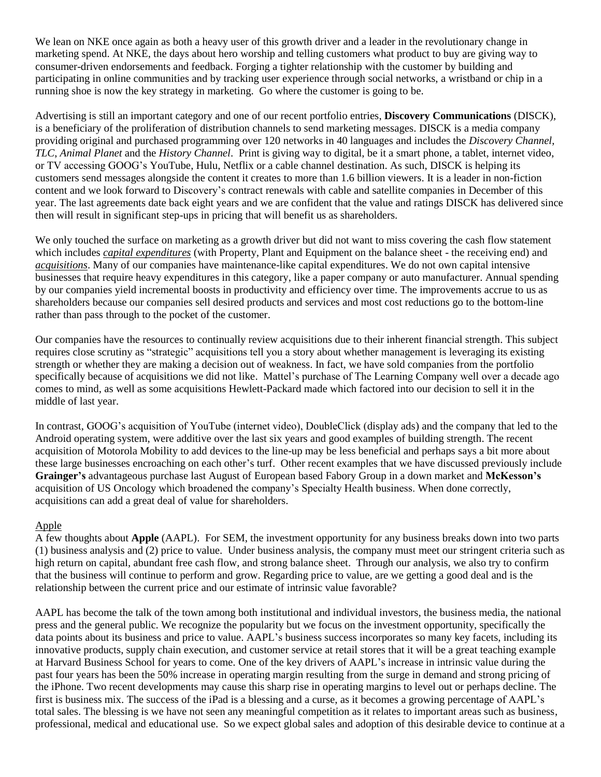We lean on NKE once again as both a heavy user of this growth driver and a leader in the revolutionary change in marketing spend. At NKE, the days about hero worship and telling customers what product to buy are giving way to consumer-driven endorsements and feedback. Forging a tighter relationship with the customer by building and participating in online communities and by tracking user experience through social networks, a wristband or chip in a running shoe is now the key strategy in marketing. Go where the customer is going to be.

Advertising is still an important category and one of our recent portfolio entries, **Discovery Communications** (DISCK), is a beneficiary of the proliferation of distribution channels to send marketing messages. DISCK is a media company providing original and purchased programming over 120 networks in 40 languages and includes the *Discovery Channel*, *TLC*, *Animal Planet* and the *History Channel*. Print is giving way to digital, be it a smart phone, a tablet, internet video, or TV accessing GOOG's YouTube, Hulu, Netflix or a cable channel destination. As such, DISCK is helping its customers send messages alongside the content it creates to more than 1.6 billion viewers. It is a leader in non-fiction content and we look forward to Discovery's contract renewals with cable and satellite companies in December of this year. The last agreements date back eight years and we are confident that the value and ratings DISCK has delivered since then will result in significant step-ups in pricing that will benefit us as shareholders.

We only touched the surface on marketing as a growth driver but did not want to miss covering the cash flow statement which includes *capital expenditures* (with Property, Plant and Equipment on the balance sheet - the receiving end) and *acquisitions*. Many of our companies have maintenance-like capital expenditures. We do not own capital intensive businesses that require heavy expenditures in this category, like a paper company or auto manufacturer. Annual spending by our companies yield incremental boosts in productivity and efficiency over time. The improvements accrue to us as shareholders because our companies sell desired products and services and most cost reductions go to the bottom-line rather than pass through to the pocket of the customer.

Our companies have the resources to continually review acquisitions due to their inherent financial strength. This subject requires close scrutiny as "strategic" acquisitions tell you a story about whether management is leveraging its existing strength or whether they are making a decision out of weakness. In fact, we have sold companies from the portfolio specifically because of acquisitions we did not like. Mattel's purchase of The Learning Company well over a decade ago comes to mind, as well as some acquisitions Hewlett-Packard made which factored into our decision to sell it in the middle of last year.

In contrast, GOOG's acquisition of YouTube (internet video), DoubleClick (display ads) and the company that led to the Android operating system, were additive over the last six years and good examples of building strength. The recent acquisition of Motorola Mobility to add devices to the line-up may be less beneficial and perhaps says a bit more about these large businesses encroaching on each other's turf. Other recent examples that we have discussed previously include **Grainger's** advantageous purchase last August of European based Fabory Group in a down market and **McKesson's** acquisition of US Oncology which broadened the company's Specialty Health business. When done correctly, acquisitions can add a great deal of value for shareholders.

#### Apple

A few thoughts about **Apple** (AAPL). For SEM, the investment opportunity for any business breaks down into two parts (1) business analysis and (2) price to value. Under business analysis, the company must meet our stringent criteria such as high return on capital, abundant free cash flow, and strong balance sheet. Through our analysis, we also try to confirm that the business will continue to perform and grow. Regarding price to value, are we getting a good deal and is the relationship between the current price and our estimate of intrinsic value favorable?

AAPL has become the talk of the town among both institutional and individual investors, the business media, the national press and the general public. We recognize the popularity but we focus on the investment opportunity, specifically the data points about its business and price to value. AAPL's business success incorporates so many key facets, including its innovative products, supply chain execution, and customer service at retail stores that it will be a great teaching example at Harvard Business School for years to come. One of the key drivers of AAPL's increase in intrinsic value during the past four years has been the 50% increase in operating margin resulting from the surge in demand and strong pricing of the iPhone. Two recent developments may cause this sharp rise in operating margins to level out or perhaps decline. The first is business mix. The success of the iPad is a blessing and a curse, as it becomes a growing percentage of AAPL's total sales. The blessing is we have not seen any meaningful competition as it relates to important areas such as business, professional, medical and educational use. So we expect global sales and adoption of this desirable device to continue at a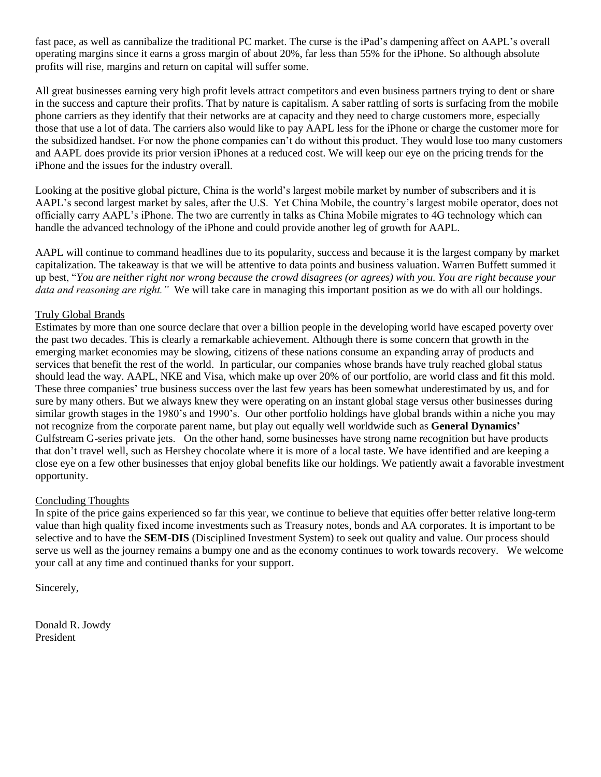fast pace, as well as cannibalize the traditional PC market. The curse is the iPad's dampening affect on AAPL's overall operating margins since it earns a gross margin of about 20%, far less than 55% for the iPhone. So although absolute profits will rise, margins and return on capital will suffer some.

All great businesses earning very high profit levels attract competitors and even business partners trying to dent or share in the success and capture their profits. That by nature is capitalism. A saber rattling of sorts is surfacing from the mobile phone carriers as they identify that their networks are at capacity and they need to charge customers more, especially those that use a lot of data. The carriers also would like to pay AAPL less for the iPhone or charge the customer more for the subsidized handset. For now the phone companies can't do without this product. They would lose too many customers and AAPL does provide its prior version iPhones at a reduced cost. We will keep our eye on the pricing trends for the iPhone and the issues for the industry overall.

Looking at the positive global picture, China is the world's largest mobile market by number of subscribers and it is AAPL's second largest market by sales, after the U.S. Yet China Mobile, the country's largest mobile operator, does not officially carry AAPL's iPhone. The two are currently in talks as China Mobile migrates to 4G technology which can handle the advanced technology of the iPhone and could provide another leg of growth for AAPL.

AAPL will continue to command headlines due to its popularity, success and because it is the largest company by market capitalization. The takeaway is that we will be attentive to data points and business valuation. Warren Buffett summed it up best, "*You are neither right nor wrong because the crowd disagrees (or agrees) with you. You are right because your data and reasoning are right."* We will take care in managing this important position as we do with all our holdings.

#### Truly Global Brands

Estimates by more than one source declare that over a billion people in the developing world have escaped poverty over the past two decades. This is clearly a remarkable achievement. Although there is some concern that growth in the emerging market economies may be slowing, citizens of these nations consume an expanding array of products and services that benefit the rest of the world. In particular, our companies whose brands have truly reached global status should lead the way. AAPL, NKE and Visa, which make up over 20% of our portfolio, are world class and fit this mold. These three companies' true business success over the last few years has been somewhat underestimated by us, and for sure by many others. But we always knew they were operating on an instant global stage versus other businesses during similar growth stages in the 1980's and 1990's. Our other portfolio holdings have global brands within a niche you may not recognize from the corporate parent name, but play out equally well worldwide such as **General Dynamics'** Gulfstream G-series private jets. On the other hand, some businesses have strong name recognition but have products that don't travel well, such as Hershey chocolate where it is more of a local taste. We have identified and are keeping a close eye on a few other businesses that enjoy global benefits like our holdings. We patiently await a favorable investment opportunity.

#### Concluding Thoughts

In spite of the price gains experienced so far this year, we continue to believe that equities offer better relative long-term value than high quality fixed income investments such as Treasury notes, bonds and AA corporates. It is important to be selective and to have the **SEM-DIS** (Disciplined Investment System) to seek out quality and value. Our process should serve us well as the journey remains a bumpy one and as the economy continues to work towards recovery. We welcome your call at any time and continued thanks for your support.

Sincerely,

Donald R. Jowdy President